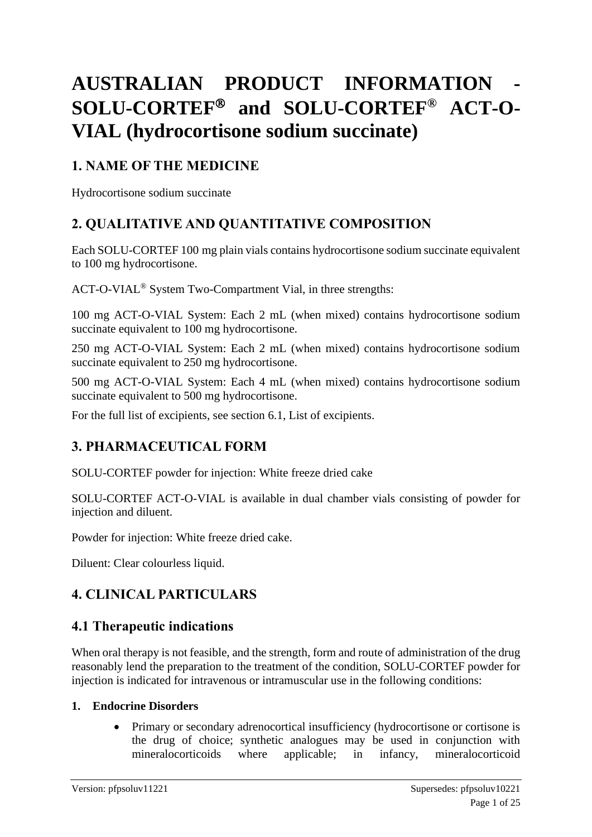# **AUSTRALIAN PRODUCT INFORMATION -**  $SOLU-CORTEF<sup>®</sup>$  and  $SOLU-CORTEF<sup>®</sup>$  ACT-O-**VIAL (hydrocortisone sodium succinate)**

# **1. NAME OF THE MEDICINE**

Hydrocortisone sodium succinate

# **2. QUALITATIVE AND QUANTITATIVE COMPOSITION**

Each SOLU-CORTEF 100 mg plain vials contains hydrocortisone sodium succinate equivalent to 100 mg hydrocortisone.

ACT-O-VIAL® System Two-Compartment Vial, in three strengths:

100 mg ACT-O-VIAL System: Each 2 mL (when mixed) contains hydrocortisone sodium succinate equivalent to 100 mg hydrocortisone.

250 mg ACT-O-VIAL System: Each 2 mL (when mixed) contains hydrocortisone sodium succinate equivalent to 250 mg hydrocortisone.

500 mg ACT-O-VIAL System: Each 4 mL (when mixed) contains hydrocortisone sodium succinate equivalent to 500 mg hydrocortisone.

For the full list of excipients, see section 6.1, List of excipients.

# **3. PHARMACEUTICAL FORM**

SOLU-CORTEF powder for injection: White freeze dried cake

SOLU-CORTEF ACT-O-VIAL is available in dual chamber vials consisting of powder for injection and diluent.

Powder for injection: White freeze dried cake.

Diluent: Clear colourless liquid.

# **4. CLINICAL PARTICULARS**

# **4.1 Therapeutic indications**

When oral therapy is not feasible, and the strength, form and route of administration of the drug reasonably lend the preparation to the treatment of the condition, SOLU-CORTEF powder for injection is indicated for intravenous or intramuscular use in the following conditions:

### **1. Endocrine Disorders**

• Primary or secondary adrenocortical insufficiency (hydrocortisone or cortisone is the drug of choice; synthetic analogues may be used in conjunction with mineralocorticoids where applicable; in infancy, mineralocorticoid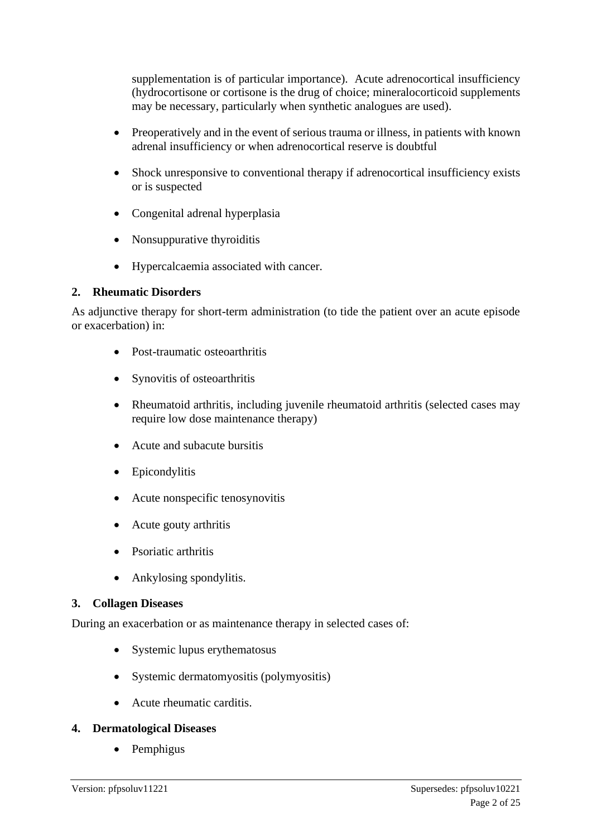supplementation is of particular importance). Acute adrenocortical insufficiency (hydrocortisone or cortisone is the drug of choice; mineralocorticoid supplements may be necessary, particularly when synthetic analogues are used).

- Preoperatively and in the event of serious trauma or illness, in patients with known adrenal insufficiency or when adrenocortical reserve is doubtful
- Shock unresponsive to conventional therapy if adrenocortical insufficiency exists or is suspected
- Congenital adrenal hyperplasia
- Nonsuppurative thyroiditis
- Hypercalcaemia associated with cancer.

### **2. Rheumatic Disorders**

As adjunctive therapy for short-term administration (to tide the patient over an acute episode or exacerbation) in:

- Post-traumatic osteoarthritis
- Synovitis of osteoarthritis
- Rheumatoid arthritis, including juvenile rheumatoid arthritis (selected cases may require low dose maintenance therapy)
- Acute and subacute bursitis
- Epicondylitis
- Acute nonspecific tenosynovitis
- Acute gouty arthritis
- Psoriatic arthritis
- Ankylosing spondylitis.

### **3. Collagen Diseases**

During an exacerbation or as maintenance therapy in selected cases of:

- Systemic lupus erythematosus
- Systemic dermatomyositis (polymyositis)
- Acute rheumatic carditis.

### **4. Dermatological Diseases**

• Pemphigus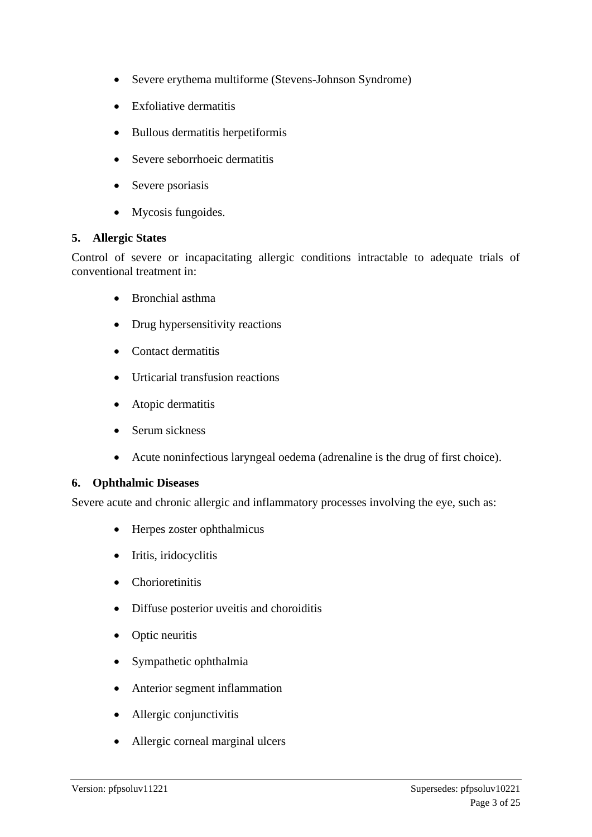- Severe erythema multiforme (Stevens-Johnson Syndrome)
- Exfoliative dermatitis
- Bullous dermatitis herpetiformis
- Severe seborrhoeic dermatitis
- Severe psoriasis
- Mycosis fungoides.

#### **5. Allergic States**

Control of severe or incapacitating allergic conditions intractable to adequate trials of conventional treatment in:

- Bronchial asthma
- Drug hypersensitivity reactions
- Contact dermatitis
- Urticarial transfusion reactions
- Atopic dermatitis
- Serum sickness
- Acute noninfectious laryngeal oedema (adrenaline is the drug of first choice).

#### **6. Ophthalmic Diseases**

Severe acute and chronic allergic and inflammatory processes involving the eye, such as:

- Herpes zoster ophthalmicus
- Iritis, iridocyclitis
- Chorioretinitis
- Diffuse posterior uveitis and choroiditis
- Optic neuritis
- Sympathetic ophthalmia
- Anterior segment inflammation
- Allergic conjunctivitis
- Allergic corneal marginal ulcers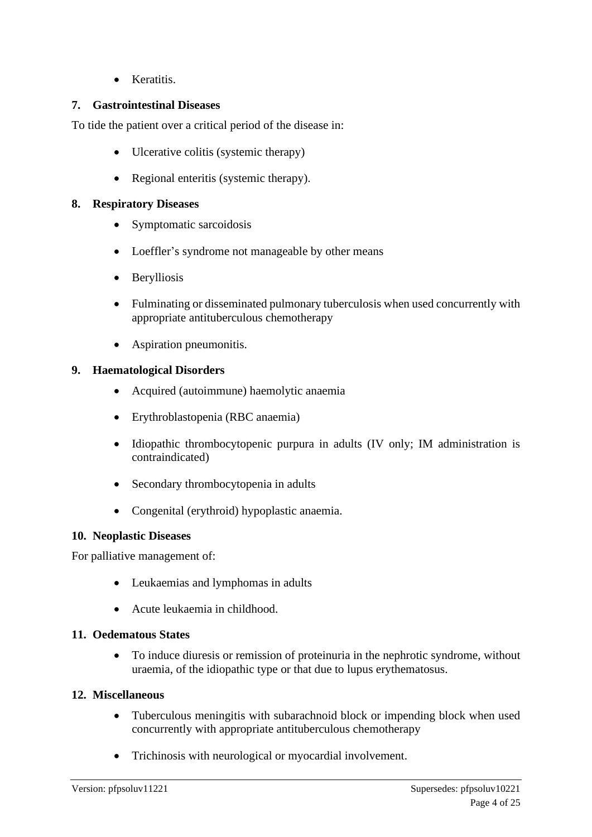• Keratitis.

### **7. Gastrointestinal Diseases**

To tide the patient over a critical period of the disease in:

- Ulcerative colitis (systemic therapy)
- Regional enteritis (systemic therapy).

### **8. Respiratory Diseases**

- Symptomatic sarcoidosis
- Loeffler's syndrome not manageable by other means
- Berylliosis
- Fulminating or disseminated pulmonary tuberculosis when used concurrently with appropriate antituberculous chemotherapy
- Aspiration pneumonitis.

### **9. Haematological Disorders**

- Acquired (autoimmune) haemolytic anaemia
- Erythroblastopenia (RBC anaemia)
- Idiopathic thrombocytopenic purpura in adults (IV only; IM administration is contraindicated)
- Secondary thrombocytopenia in adults
- Congenital (erythroid) hypoplastic anaemia.

### **10. Neoplastic Diseases**

For palliative management of:

- Leukaemias and lymphomas in adults
- Acute leukaemia in childhood.

### **11. Oedematous States**

• To induce diuresis or remission of proteinuria in the nephrotic syndrome, without uraemia, of the idiopathic type or that due to lupus erythematosus.

### **12. Miscellaneous**

- Tuberculous meningitis with subarachnoid block or impending block when used concurrently with appropriate antituberculous chemotherapy
- Trichinosis with neurological or myocardial involvement.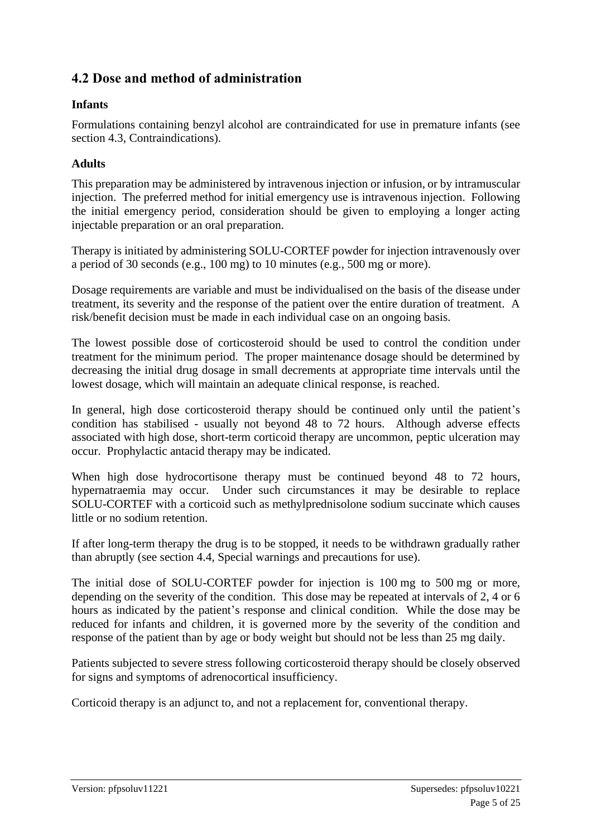# **4.2 Dose and method of administration**

### **Infants**

Formulations containing benzyl alcohol are contraindicated for use in premature infants (see section 4.3, Contraindications).

### **Adults**

This preparation may be administered by intravenous injection or infusion, or by intramuscular injection. The preferred method for initial emergency use is intravenous injection. Following the initial emergency period, consideration should be given to employing a longer acting injectable preparation or an oral preparation.

Therapy is initiated by administering SOLU-CORTEF powder for injection intravenously over a period of 30 seconds (e.g., 100 mg) to 10 minutes (e.g., 500 mg or more).

Dosage requirements are variable and must be individualised on the basis of the disease under treatment, its severity and the response of the patient over the entire duration of treatment. A risk/benefit decision must be made in each individual case on an ongoing basis.

The lowest possible dose of corticosteroid should be used to control the condition under treatment for the minimum period. The proper maintenance dosage should be determined by decreasing the initial drug dosage in small decrements at appropriate time intervals until the lowest dosage, which will maintain an adequate clinical response, is reached.

In general, high dose corticosteroid therapy should be continued only until the patient's condition has stabilised - usually not beyond 48 to 72 hours. Although adverse effects associated with high dose, short-term corticoid therapy are uncommon, peptic ulceration may occur. Prophylactic antacid therapy may be indicated.

When high dose hydrocortisone therapy must be continued beyond 48 to 72 hours, hypernatraemia may occur. Under such circumstances it may be desirable to replace SOLU-CORTEF with a corticoid such as methylprednisolone sodium succinate which causes little or no sodium retention.

If after long-term therapy the drug is to be stopped, it needs to be withdrawn gradually rather than abruptly (see section 4.4, Special warnings and precautions for use).

The initial dose of SOLU-CORTEF powder for injection is 100 mg to 500 mg or more, depending on the severity of the condition. This dose may be repeated at intervals of 2, 4 or 6 hours as indicated by the patient's response and clinical condition. While the dose may be reduced for infants and children, it is governed more by the severity of the condition and response of the patient than by age or body weight but should not be less than 25 mg daily.

Patients subjected to severe stress following corticosteroid therapy should be closely observed for signs and symptoms of adrenocortical insufficiency.

Corticoid therapy is an adjunct to, and not a replacement for, conventional therapy.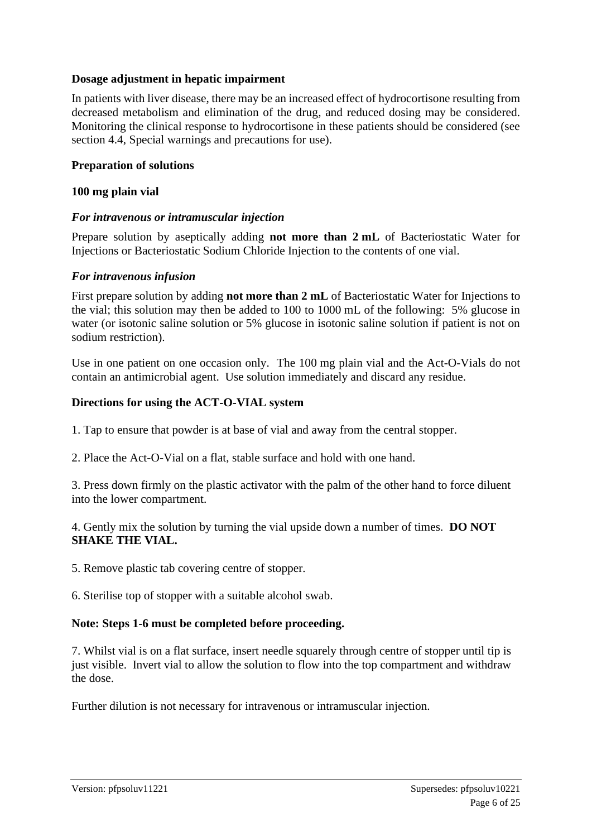#### **Dosage adjustment in hepatic impairment**

In patients with liver disease, there may be an increased effect of hydrocortisone resulting from decreased metabolism and elimination of the drug, and reduced dosing may be considered. Monitoring the clinical response to hydrocortisone in these patients should be considered (see section 4.4, Special warnings and precautions for use).

#### **Preparation of solutions**

#### **100 mg plain vial**

#### *For intravenous or intramuscular injection*

Prepare solution by aseptically adding **not more than 2 mL** of Bacteriostatic Water for Injections or Bacteriostatic Sodium Chloride Injection to the contents of one vial.

#### *For intravenous infusion*

First prepare solution by adding **not more than 2 mL** of Bacteriostatic Water for Injections to the vial; this solution may then be added to 100 to 1000 mL of the following: 5% glucose in water (or isotonic saline solution or 5% glucose in isotonic saline solution if patient is not on sodium restriction).

Use in one patient on one occasion only. The 100 mg plain vial and the Act-O-Vials do not contain an antimicrobial agent. Use solution immediately and discard any residue.

#### **Directions for using the ACT-O-VIAL system**

1. Tap to ensure that powder is at base of vial and away from the central stopper.

2. Place the Act-O-Vial on a flat, stable surface and hold with one hand.

3. Press down firmly on the plastic activator with the palm of the other hand to force diluent into the lower compartment.

4. Gently mix the solution by turning the vial upside down a number of times. **DO NOT SHAKE THE VIAL.**

5. Remove plastic tab covering centre of stopper.

6. Sterilise top of stopper with a suitable alcohol swab.

#### **Note: Steps 1-6 must be completed before proceeding.**

7. Whilst vial is on a flat surface, insert needle squarely through centre of stopper until tip is just visible. Invert vial to allow the solution to flow into the top compartment and withdraw the dose.

Further dilution is not necessary for intravenous or intramuscular injection.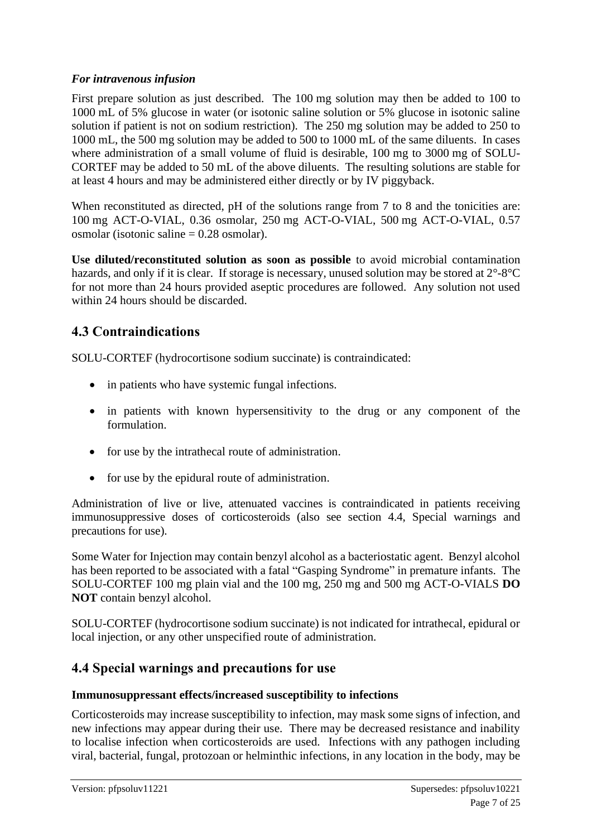### *For intravenous infusion*

First prepare solution as just described. The 100 mg solution may then be added to 100 to 1000 mL of 5% glucose in water (or isotonic saline solution or 5% glucose in isotonic saline solution if patient is not on sodium restriction). The 250 mg solution may be added to 250 to 1000 mL, the 500 mg solution may be added to 500 to 1000 mL of the same diluents. In cases where administration of a small volume of fluid is desirable, 100 mg to 3000 mg of SOLU-CORTEF may be added to 50 mL of the above diluents. The resulting solutions are stable for at least 4 hours and may be administered either directly or by IV piggyback.

When reconstituted as directed, pH of the solutions range from 7 to 8 and the tonicities are: 100 mg ACT-O-VIAL, 0.36 osmolar, 250 mg ACT-O-VIAL, 500 mg ACT-O-VIAL, 0.57 osmolar (isotonic saline = 0.28 osmolar).

**Use diluted/reconstituted solution as soon as possible** to avoid microbial contamination hazards, and only if it is clear. If storage is necessary, unused solution may be stored at  $2^{\circ}$ -8<sup>o</sup>C for not more than 24 hours provided aseptic procedures are followed. Any solution not used within 24 hours should be discarded.

# **4.3 Contraindications**

SOLU-CORTEF (hydrocortisone sodium succinate) is contraindicated:

- in patients who have systemic fungal infections.
- in patients with known hypersensitivity to the drug or any component of the formulation.
- for use by the intrathecal route of administration.
- for use by the epidural route of administration.

Administration of live or live, attenuated vaccines is contraindicated in patients receiving immunosuppressive doses of corticosteroids (also see section 4.4, Special warnings and precautions for use).

Some Water for Injection may contain benzyl alcohol as a bacteriostatic agent. Benzyl alcohol has been reported to be associated with a fatal "Gasping Syndrome" in premature infants. The SOLU-CORTEF 100 mg plain vial and the 100 mg, 250 mg and 500 mg ACT-O-VIALS **DO NOT** contain benzyl alcohol.

SOLU-CORTEF (hydrocortisone sodium succinate) is not indicated for intrathecal, epidural or local injection, or any other unspecified route of administration.

# **4.4 Special warnings and precautions for use**

# **Immunosuppressant effects/increased susceptibility to infections**

Corticosteroids may increase susceptibility to infection, may mask some signs of infection, and new infections may appear during their use. There may be decreased resistance and inability to localise infection when corticosteroids are used. Infections with any pathogen including viral, bacterial, fungal, protozoan or helminthic infections, in any location in the body, may be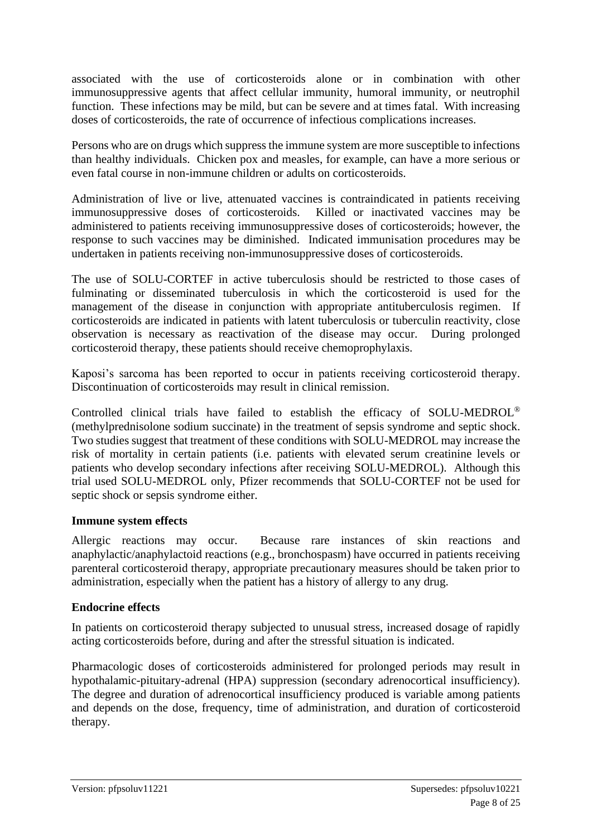associated with the use of corticosteroids alone or in combination with other immunosuppressive agents that affect cellular immunity, humoral immunity, or neutrophil function. These infections may be mild, but can be severe and at times fatal. With increasing doses of corticosteroids, the rate of occurrence of infectious complications increases.

Persons who are on drugs which suppress the immune system are more susceptible to infections than healthy individuals. Chicken pox and measles, for example, can have a more serious or even fatal course in non-immune children or adults on corticosteroids.

Administration of live or live, attenuated vaccines is contraindicated in patients receiving immunosuppressive doses of corticosteroids. Killed or inactivated vaccines may be administered to patients receiving immunosuppressive doses of corticosteroids; however, the response to such vaccines may be diminished. Indicated immunisation procedures may be undertaken in patients receiving non-immunosuppressive doses of corticosteroids.

The use of SOLU-CORTEF in active tuberculosis should be restricted to those cases of fulminating or disseminated tuberculosis in which the corticosteroid is used for the management of the disease in conjunction with appropriate antituberculosis regimen. If corticosteroids are indicated in patients with latent tuberculosis or tuberculin reactivity, close observation is necessary as reactivation of the disease may occur. During prolonged corticosteroid therapy, these patients should receive chemoprophylaxis.

Kaposi's sarcoma has been reported to occur in patients receiving corticosteroid therapy. Discontinuation of corticosteroids may result in clinical remission.

Controlled clinical trials have failed to establish the efficacy of SOLU-MEDROL® (methylprednisolone sodium succinate) in the treatment of sepsis syndrome and septic shock. Two studies suggest that treatment of these conditions with SOLU-MEDROL may increase the risk of mortality in certain patients (i.e. patients with elevated serum creatinine levels or patients who develop secondary infections after receiving SOLU-MEDROL). Although this trial used SOLU-MEDROL only, Pfizer recommends that SOLU-CORTEF not be used for septic shock or sepsis syndrome either.

#### **Immune system effects**

Allergic reactions may occur. Because rare instances of skin reactions and anaphylactic/anaphylactoid reactions (e.g., bronchospasm) have occurred in patients receiving parenteral corticosteroid therapy, appropriate precautionary measures should be taken prior to administration, especially when the patient has a history of allergy to any drug.

#### **Endocrine effects**

In patients on corticosteroid therapy subjected to unusual stress, increased dosage of rapidly acting corticosteroids before, during and after the stressful situation is indicated.

Pharmacologic doses of corticosteroids administered for prolonged periods may result in hypothalamic-pituitary-adrenal (HPA) suppression (secondary adrenocortical insufficiency). The degree and duration of adrenocortical insufficiency produced is variable among patients and depends on the dose, frequency, time of administration, and duration of corticosteroid therapy.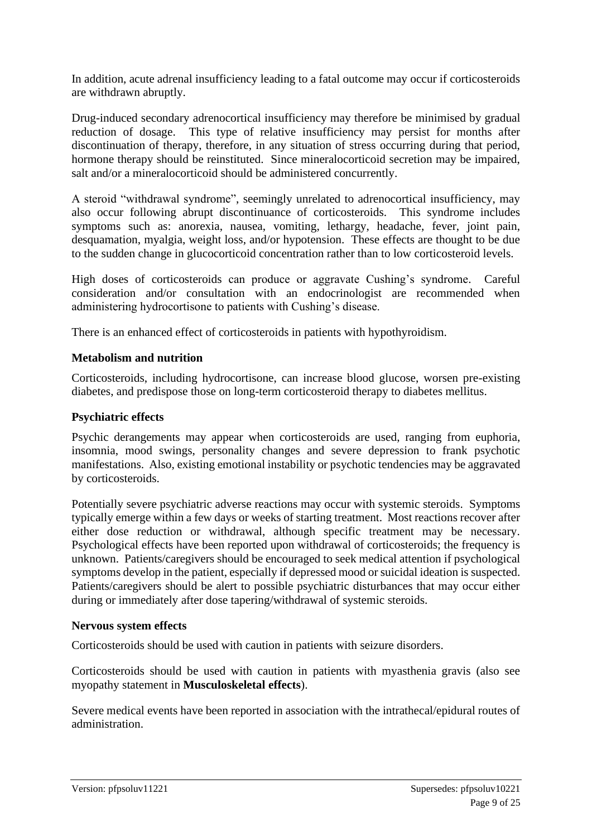In addition, acute adrenal insufficiency leading to a fatal outcome may occur if corticosteroids are withdrawn abruptly.

Drug-induced secondary adrenocortical insufficiency may therefore be minimised by gradual reduction of dosage. This type of relative insufficiency may persist for months after discontinuation of therapy, therefore, in any situation of stress occurring during that period, hormone therapy should be reinstituted. Since mineralocorticoid secretion may be impaired, salt and/or a mineralocorticoid should be administered concurrently.

A steroid "withdrawal syndrome", seemingly unrelated to adrenocortical insufficiency, may also occur following abrupt discontinuance of corticosteroids. This syndrome includes symptoms such as: anorexia, nausea, vomiting, lethargy, headache, fever, joint pain, desquamation, myalgia, weight loss, and/or hypotension. These effects are thought to be due to the sudden change in glucocorticoid concentration rather than to low corticosteroid levels.

High doses of corticosteroids can produce or aggravate Cushing's syndrome. Careful consideration and/or consultation with an endocrinologist are recommended when administering hydrocortisone to patients with Cushing's disease.

There is an enhanced effect of corticosteroids in patients with hypothyroidism.

### **Metabolism and nutrition**

Corticosteroids, including hydrocortisone, can increase blood glucose, worsen pre-existing diabetes, and predispose those on long-term corticosteroid therapy to diabetes mellitus.

### **Psychiatric effects**

Psychic derangements may appear when corticosteroids are used, ranging from euphoria, insomnia, mood swings, personality changes and severe depression to frank psychotic manifestations. Also, existing emotional instability or psychotic tendencies may be aggravated by corticosteroids.

Potentially severe psychiatric adverse reactions may occur with systemic steroids. Symptoms typically emerge within a few days or weeks of starting treatment. Most reactions recover after either dose reduction or withdrawal, although specific treatment may be necessary. Psychological effects have been reported upon withdrawal of corticosteroids; the frequency is unknown. Patients/caregivers should be encouraged to seek medical attention if psychological symptoms develop in the patient, especially if depressed mood or suicidal ideation is suspected. Patients/caregivers should be alert to possible psychiatric disturbances that may occur either during or immediately after dose tapering/withdrawal of systemic steroids.

#### **Nervous system effects**

Corticosteroids should be used with caution in patients with seizure disorders.

Corticosteroids should be used with caution in patients with myasthenia gravis (also see myopathy statement in **Musculoskeletal effects**).

Severe medical events have been reported in association with the intrathecal/epidural routes of administration.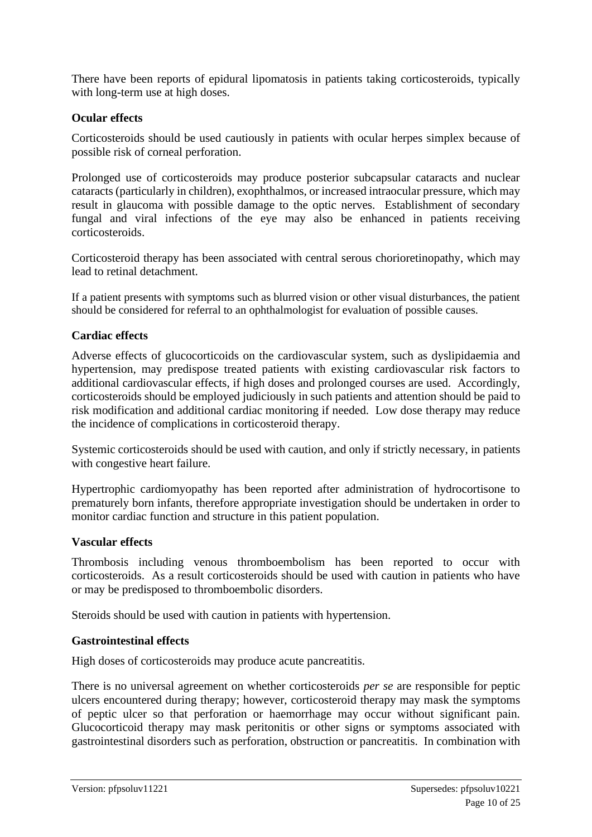There have been reports of epidural lipomatosis in patients taking corticosteroids, typically with long-term use at high doses.

#### **Ocular effects**

Corticosteroids should be used cautiously in patients with ocular herpes simplex because of possible risk of corneal perforation.

Prolonged use of corticosteroids may produce posterior subcapsular cataracts and nuclear cataracts (particularly in children), exophthalmos, or increased intraocular pressure, which may result in glaucoma with possible damage to the optic nerves. Establishment of secondary fungal and viral infections of the eye may also be enhanced in patients receiving corticosteroids.

Corticosteroid therapy has been associated with central serous chorioretinopathy, which may lead to retinal detachment.

If a patient presents with symptoms such as blurred vision or other visual disturbances, the patient should be considered for referral to an ophthalmologist for evaluation of possible causes.

#### **Cardiac effects**

Adverse effects of glucocorticoids on the cardiovascular system, such as dyslipidaemia and hypertension, may predispose treated patients with existing cardiovascular risk factors to additional cardiovascular effects, if high doses and prolonged courses are used. Accordingly, corticosteroids should be employed judiciously in such patients and attention should be paid to risk modification and additional cardiac monitoring if needed. Low dose therapy may reduce the incidence of complications in corticosteroid therapy.

Systemic corticosteroids should be used with caution, and only if strictly necessary, in patients with congestive heart failure.

Hypertrophic cardiomyopathy has been reported after administration of hydrocortisone to prematurely born infants, therefore appropriate investigation should be undertaken in order to monitor cardiac function and structure in this patient population.

#### **Vascular effects**

Thrombosis including venous thromboembolism has been reported to occur with corticosteroids. As a result corticosteroids should be used with caution in patients who have or may be predisposed to thromboembolic disorders.

Steroids should be used with caution in patients with hypertension.

#### **Gastrointestinal effects**

High doses of corticosteroids may produce acute pancreatitis.

There is no universal agreement on whether corticosteroids *per se* are responsible for peptic ulcers encountered during therapy; however, corticosteroid therapy may mask the symptoms of peptic ulcer so that perforation or haemorrhage may occur without significant pain. Glucocorticoid therapy may mask peritonitis or other signs or symptoms associated with gastrointestinal disorders such as perforation, obstruction or pancreatitis. In combination with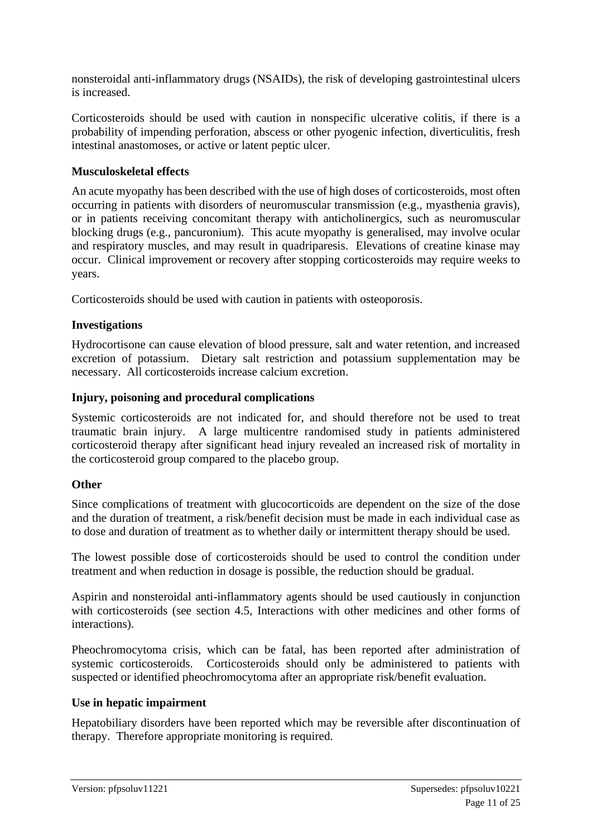nonsteroidal anti-inflammatory drugs (NSAIDs), the risk of developing gastrointestinal ulcers is increased.

Corticosteroids should be used with caution in nonspecific ulcerative colitis, if there is a probability of impending perforation, abscess or other pyogenic infection, diverticulitis, fresh intestinal anastomoses, or active or latent peptic ulcer.

### **Musculoskeletal effects**

An acute myopathy has been described with the use of high doses of corticosteroids, most often occurring in patients with disorders of neuromuscular transmission (e.g., myasthenia gravis), or in patients receiving concomitant therapy with anticholinergics, such as neuromuscular blocking drugs (e.g., pancuronium). This acute myopathy is generalised, may involve ocular and respiratory muscles, and may result in quadriparesis. Elevations of creatine kinase may occur. Clinical improvement or recovery after stopping corticosteroids may require weeks to years.

Corticosteroids should be used with caution in patients with osteoporosis.

#### **Investigations**

Hydrocortisone can cause elevation of blood pressure, salt and water retention, and increased excretion of potassium. Dietary salt restriction and potassium supplementation may be necessary. All corticosteroids increase calcium excretion.

#### **Injury, poisoning and procedural complications**

Systemic corticosteroids are not indicated for, and should therefore not be used to treat traumatic brain injury. A large multicentre randomised study in patients administered corticosteroid therapy after significant head injury revealed an increased risk of mortality in the corticosteroid group compared to the placebo group.

#### **Other**

Since complications of treatment with glucocorticoids are dependent on the size of the dose and the duration of treatment, a risk/benefit decision must be made in each individual case as to dose and duration of treatment as to whether daily or intermittent therapy should be used.

The lowest possible dose of corticosteroids should be used to control the condition under treatment and when reduction in dosage is possible, the reduction should be gradual.

Aspirin and nonsteroidal anti-inflammatory agents should be used cautiously in conjunction with corticosteroids (see section 4.5, Interactions with other medicines and other forms of interactions).

Pheochromocytoma crisis, which can be fatal, has been reported after administration of systemic corticosteroids. Corticosteroids should only be administered to patients with suspected or identified pheochromocytoma after an appropriate risk/benefit evaluation.

#### **Use in hepatic impairment**

Hepatobiliary disorders have been reported which may be reversible after discontinuation of therapy. Therefore appropriate monitoring is required.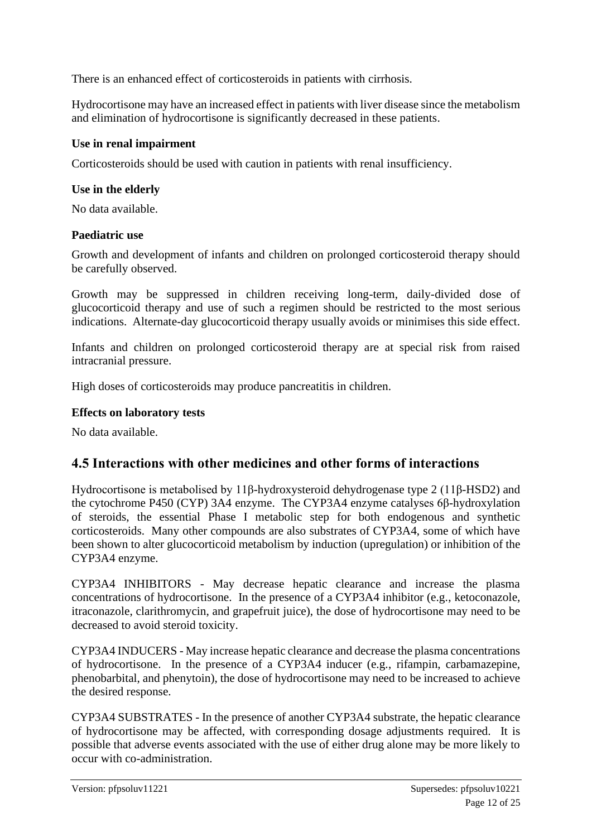There is an enhanced effect of corticosteroids in patients with cirrhosis.

Hydrocortisone may have an increased effect in patients with liver disease since the metabolism and elimination of hydrocortisone is significantly decreased in these patients.

#### **Use in renal impairment**

Corticosteroids should be used with caution in patients with renal insufficiency.

#### **Use in the elderly**

No data available.

#### **Paediatric use**

Growth and development of infants and children on prolonged corticosteroid therapy should be carefully observed.

Growth may be suppressed in children receiving long-term, daily-divided dose of glucocorticoid therapy and use of such a regimen should be restricted to the most serious indications. Alternate-day glucocorticoid therapy usually avoids or minimises this side effect.

Infants and children on prolonged corticosteroid therapy are at special risk from raised intracranial pressure.

High doses of corticosteroids may produce pancreatitis in children.

#### **Effects on laboratory tests**

No data available.

### **4.5 Interactions with other medicines and other forms of interactions**

Hydrocortisone is metabolised by 11β-hydroxysteroid dehydrogenase type 2 (11β-HSD2) and the cytochrome P450 (CYP) 3A4 enzyme. The CYP3A4 enzyme catalyses 6β-hydroxylation of steroids, the essential Phase I metabolic step for both endogenous and synthetic corticosteroids. Many other compounds are also substrates of CYP3A4, some of which have been shown to alter glucocorticoid metabolism by induction (upregulation) or inhibition of the CYP3A4 enzyme.

CYP3A4 INHIBITORS - May decrease hepatic clearance and increase the plasma concentrations of hydrocortisone. In the presence of a CYP3A4 inhibitor (e.g., ketoconazole, itraconazole, clarithromycin, and grapefruit juice), the dose of hydrocortisone may need to be decreased to avoid steroid toxicity.

CYP3A4 INDUCERS - May increase hepatic clearance and decrease the plasma concentrations of hydrocortisone. In the presence of a CYP3A4 inducer (e.g., rifampin, carbamazepine, phenobarbital, and phenytoin), the dose of hydrocortisone may need to be increased to achieve the desired response.

CYP3A4 SUBSTRATES - In the presence of another CYP3A4 substrate, the hepatic clearance of hydrocortisone may be affected, with corresponding dosage adjustments required. It is possible that adverse events associated with the use of either drug alone may be more likely to occur with co-administration.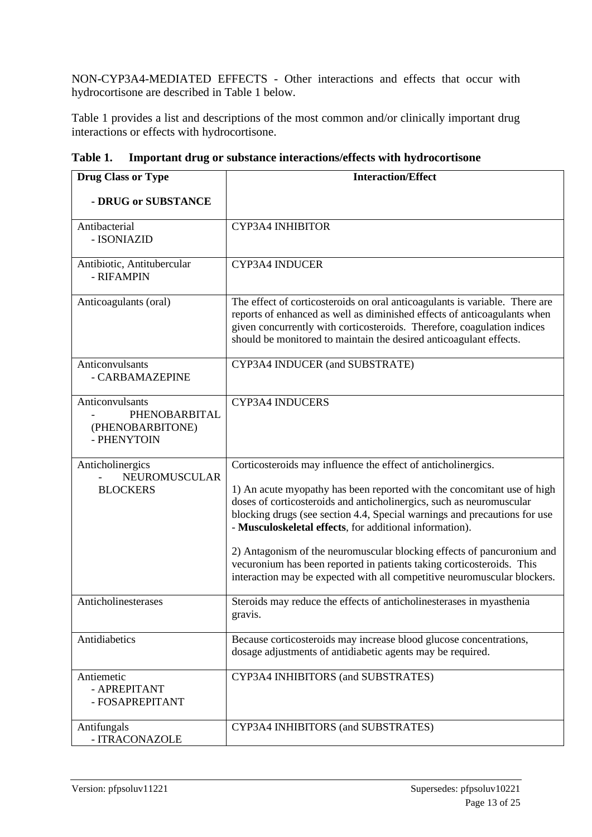NON-CYP3A4-MEDIATED EFFECTS - Other interactions and effects that occur with hydrocortisone are described in Table 1 below.

Table 1 provides a list and descriptions of the most common and/or clinically important drug interactions or effects with hydrocortisone.

| <b>Drug Class or Type</b>                                           | <b>Interaction/Effect</b>                                                                                                                                                                                                                                                                                                                                                                                                                                                                                                                                                               |
|---------------------------------------------------------------------|-----------------------------------------------------------------------------------------------------------------------------------------------------------------------------------------------------------------------------------------------------------------------------------------------------------------------------------------------------------------------------------------------------------------------------------------------------------------------------------------------------------------------------------------------------------------------------------------|
| - DRUG or SUBSTANCE                                                 |                                                                                                                                                                                                                                                                                                                                                                                                                                                                                                                                                                                         |
| Antibacterial<br>- ISONIAZID                                        | CYP3A4 INHIBITOR                                                                                                                                                                                                                                                                                                                                                                                                                                                                                                                                                                        |
| Antibiotic, Antitubercular<br>- RIFAMPIN                            | <b>CYP3A4 INDUCER</b>                                                                                                                                                                                                                                                                                                                                                                                                                                                                                                                                                                   |
| Anticoagulants (oral)                                               | The effect of corticosteroids on oral anticoagulants is variable. There are<br>reports of enhanced as well as diminished effects of anticoagulants when<br>given concurrently with corticosteroids. Therefore, coagulation indices<br>should be monitored to maintain the desired anticoagulant effects.                                                                                                                                                                                                                                                                                |
| Anticonvulsants<br>- CARBAMAZEPINE                                  | CYP3A4 INDUCER (and SUBSTRATE)                                                                                                                                                                                                                                                                                                                                                                                                                                                                                                                                                          |
| Anticonvulsants<br>PHENOBARBITAL<br>(PHENOBARBITONE)<br>- PHENYTOIN | CYP3A4 INDUCERS                                                                                                                                                                                                                                                                                                                                                                                                                                                                                                                                                                         |
| Anticholinergics<br>NEUROMUSCULAR<br><b>BLOCKERS</b>                | Corticosteroids may influence the effect of anticholinergics.<br>1) An acute myopathy has been reported with the concomitant use of high<br>doses of corticosteroids and anticholinergics, such as neuromuscular<br>blocking drugs (see section 4.4, Special warnings and precautions for use<br>- Musculoskeletal effects, for additional information).<br>2) Antagonism of the neuromuscular blocking effects of pancuronium and<br>vecuronium has been reported in patients taking corticosteroids. This<br>interaction may be expected with all competitive neuromuscular blockers. |
| Anticholinesterases                                                 | Steroids may reduce the effects of anticholinesterases in myasthenia<br>gravis.                                                                                                                                                                                                                                                                                                                                                                                                                                                                                                         |
| Antidiabetics                                                       | Because corticosteroids may increase blood glucose concentrations,<br>dosage adjustments of antidiabetic agents may be required.                                                                                                                                                                                                                                                                                                                                                                                                                                                        |
| Antiemetic<br>- APREPITANT<br>- FOSAPREPITANT                       | CYP3A4 INHIBITORS (and SUBSTRATES)                                                                                                                                                                                                                                                                                                                                                                                                                                                                                                                                                      |
| Antifungals<br>- ITRACONAZOLE                                       | CYP3A4 INHIBITORS (and SUBSTRATES)                                                                                                                                                                                                                                                                                                                                                                                                                                                                                                                                                      |

**Table 1. Important drug or substance interactions/effects with hydrocortisone**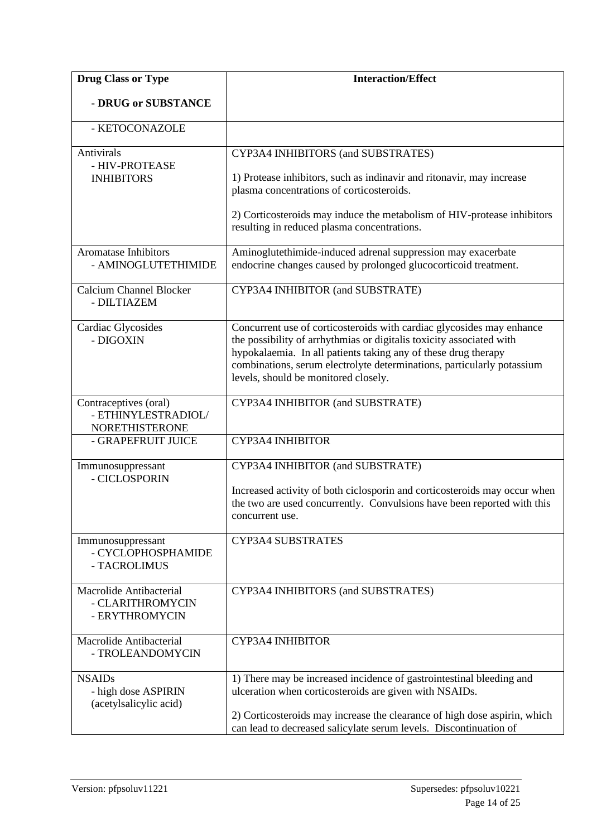| <b>Drug Class or Type</b>                                             | <b>Interaction/Effect</b>                                                                                                                                                                                                                                                                                                         |
|-----------------------------------------------------------------------|-----------------------------------------------------------------------------------------------------------------------------------------------------------------------------------------------------------------------------------------------------------------------------------------------------------------------------------|
| - DRUG or SUBSTANCE                                                   |                                                                                                                                                                                                                                                                                                                                   |
| - KETOCONAZOLE                                                        |                                                                                                                                                                                                                                                                                                                                   |
| Antivirals<br>- HIV-PROTEASE<br><b>INHIBITORS</b>                     | CYP3A4 INHIBITORS (and SUBSTRATES)                                                                                                                                                                                                                                                                                                |
|                                                                       | 1) Protease inhibitors, such as indinavir and ritonavir, may increase<br>plasma concentrations of corticosteroids.                                                                                                                                                                                                                |
|                                                                       | 2) Corticosteroids may induce the metabolism of HIV-protease inhibitors<br>resulting in reduced plasma concentrations.                                                                                                                                                                                                            |
| <b>Aromatase Inhibitors</b><br>- AMINOGLUTETHIMIDE                    | Aminoglutethimide-induced adrenal suppression may exacerbate<br>endocrine changes caused by prolonged glucocorticoid treatment.                                                                                                                                                                                                   |
| <b>Calcium Channel Blocker</b><br>- DILTIAZEM                         | CYP3A4 INHIBITOR (and SUBSTRATE)                                                                                                                                                                                                                                                                                                  |
| Cardiac Glycosides<br>- DIGOXIN                                       | Concurrent use of corticosteroids with cardiac glycosides may enhance<br>the possibility of arrhythmias or digitalis toxicity associated with<br>hypokalaemia. In all patients taking any of these drug therapy<br>combinations, serum electrolyte determinations, particularly potassium<br>levels, should be monitored closely. |
| Contraceptives (oral)<br>- ETHINYLESTRADIOL/<br><b>NORETHISTERONE</b> | CYP3A4 INHIBITOR (and SUBSTRATE)                                                                                                                                                                                                                                                                                                  |
| - GRAPEFRUIT JUICE                                                    | CYP3A4 INHIBITOR                                                                                                                                                                                                                                                                                                                  |
| Immunosuppressant<br>- CICLOSPORIN                                    | CYP3A4 INHIBITOR (and SUBSTRATE)                                                                                                                                                                                                                                                                                                  |
|                                                                       | Increased activity of both ciclosporin and corticosteroids may occur when<br>the two are used concurrently. Convulsions have been reported with this<br>concurrent use.                                                                                                                                                           |
| Immunosuppressant<br>- CYCLOPHOSPHAMIDE<br>- TACROLIMUS               | CYP3A4 SUBSTRATES                                                                                                                                                                                                                                                                                                                 |
| Macrolide Antibacterial<br>- CLARITHROMYCIN<br>- ERYTHROMYCIN         | CYP3A4 INHIBITORS (and SUBSTRATES)                                                                                                                                                                                                                                                                                                |
| Macrolide Antibacterial<br>- TROLEANDOMYCIN                           | CYP3A4 INHIBITOR                                                                                                                                                                                                                                                                                                                  |
| <b>NSAIDs</b><br>- high dose ASPIRIN<br>(acetylsalicylic acid)        | 1) There may be increased incidence of gastrointestinal bleeding and<br>ulceration when corticosteroids are given with NSAIDs.                                                                                                                                                                                                    |
|                                                                       | 2) Corticosteroids may increase the clearance of high dose aspirin, which<br>can lead to decreased salicylate serum levels. Discontinuation of                                                                                                                                                                                    |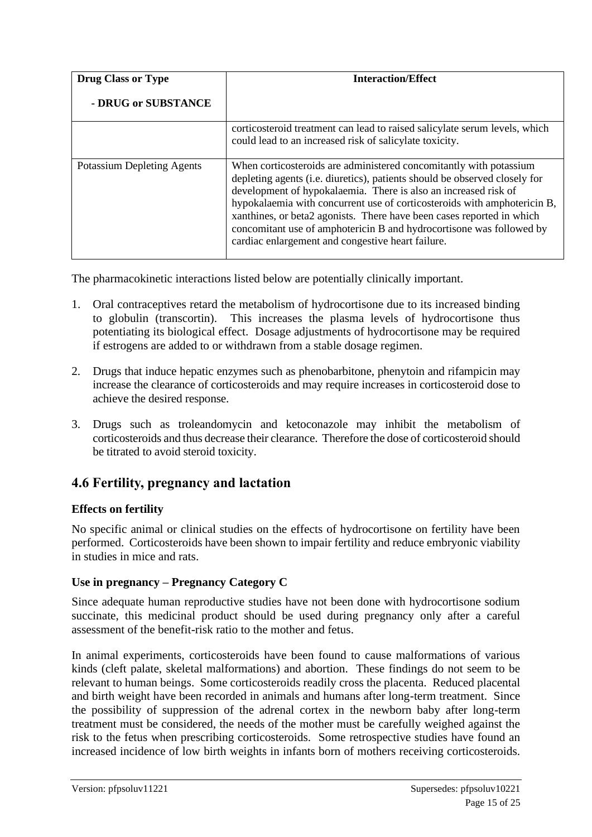| <b>Drug Class or Type</b>         | <b>Interaction/Effect</b>                                                                                                                                                                                                                                                                                                                                                                                                                                                                             |
|-----------------------------------|-------------------------------------------------------------------------------------------------------------------------------------------------------------------------------------------------------------------------------------------------------------------------------------------------------------------------------------------------------------------------------------------------------------------------------------------------------------------------------------------------------|
| - DRUG or SUBSTANCE               |                                                                                                                                                                                                                                                                                                                                                                                                                                                                                                       |
|                                   | corticosteroid treatment can lead to raised salicylate serum levels, which<br>could lead to an increased risk of salicylate toxicity.                                                                                                                                                                                                                                                                                                                                                                 |
| <b>Potassium Depleting Agents</b> | When corticosteroids are administered concomitantly with potassium<br>depleting agents (i.e. diuretics), patients should be observed closely for<br>development of hypokalaemia. There is also an increased risk of<br>hypokalaemia with concurrent use of corticosteroids with amphotericin B,<br>xanthines, or beta2 agonists. There have been cases reported in which<br>concomitant use of amphotericin B and hydrocortisone was followed by<br>cardiac enlargement and congestive heart failure. |

The pharmacokinetic interactions listed below are potentially clinically important.

- 1. Oral contraceptives retard the metabolism of hydrocortisone due to its increased binding to globulin (transcortin). This increases the plasma levels of hydrocortisone thus potentiating its biological effect. Dosage adjustments of hydrocortisone may be required if estrogens are added to or withdrawn from a stable dosage regimen.
- 2. Drugs that induce hepatic enzymes such as phenobarbitone, phenytoin and rifampicin may increase the clearance of corticosteroids and may require increases in corticosteroid dose to achieve the desired response.
- 3. Drugs such as troleandomycin and ketoconazole may inhibit the metabolism of corticosteroids and thus decrease their clearance. Therefore the dose of corticosteroid should be titrated to avoid steroid toxicity.

# **4.6 Fertility, pregnancy and lactation**

### **Effects on fertility**

No specific animal or clinical studies on the effects of hydrocortisone on fertility have been performed. Corticosteroids have been shown to impair fertility and reduce embryonic viability in studies in mice and rats.

### **Use in pregnancy – Pregnancy Category C**

Since adequate human reproductive studies have not been done with hydrocortisone sodium succinate, this medicinal product should be used during pregnancy only after a careful assessment of the benefit-risk ratio to the mother and fetus.

In animal experiments, corticosteroids have been found to cause malformations of various kinds (cleft palate, skeletal malformations) and abortion. These findings do not seem to be relevant to human beings. Some corticosteroids readily cross the placenta. Reduced placental and birth weight have been recorded in animals and humans after long-term treatment. Since the possibility of suppression of the adrenal cortex in the newborn baby after long-term treatment must be considered, the needs of the mother must be carefully weighed against the risk to the fetus when prescribing corticosteroids. Some retrospective studies have found an increased incidence of low birth weights in infants born of mothers receiving corticosteroids.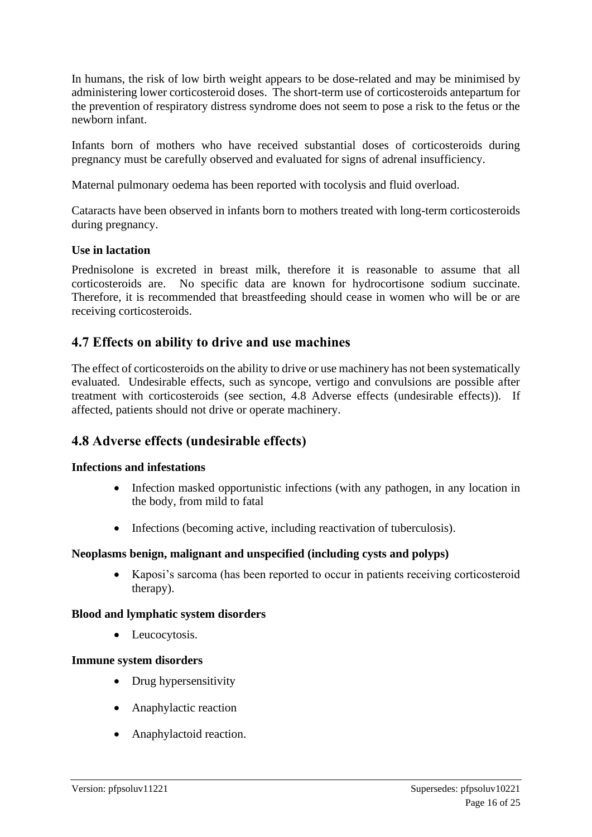In humans, the risk of low birth weight appears to be dose-related and may be minimised by administering lower corticosteroid doses. The short-term use of corticosteroids antepartum for the prevention of respiratory distress syndrome does not seem to pose a risk to the fetus or the newborn infant.

Infants born of mothers who have received substantial doses of corticosteroids during pregnancy must be carefully observed and evaluated for signs of adrenal insufficiency.

Maternal pulmonary oedema has been reported with tocolysis and fluid overload.

Cataracts have been observed in infants born to mothers treated with long-term corticosteroids during pregnancy.

#### **Use in lactation**

Prednisolone is excreted in breast milk, therefore it is reasonable to assume that all corticosteroids are. No specific data are known for hydrocortisone sodium succinate. Therefore, it is recommended that breastfeeding should cease in women who will be or are receiving corticosteroids.

# **4.7 Effects on ability to drive and use machines**

The effect of corticosteroids on the ability to drive or use machinery has not been systematically evaluated. Undesirable effects, such as syncope, vertigo and convulsions are possible after treatment with corticosteroids (see section, 4.8 Adverse effects (undesirable effects)). If affected, patients should not drive or operate machinery.

# **4.8 Adverse effects (undesirable effects)**

#### **Infections and infestations**

- Infection masked opportunistic infections (with any pathogen, in any location in the body, from mild to fatal
- Infections (becoming active, including reactivation of tuberculosis).

#### **Neoplasms benign, malignant and unspecified (including cysts and polyps)**

• Kaposi's sarcoma (has been reported to occur in patients receiving corticosteroid therapy).

#### **Blood and lymphatic system disorders**

• Leucocytosis.

#### **Immune system disorders**

- Drug hypersensitivity
- Anaphylactic reaction
- Anaphylactoid reaction.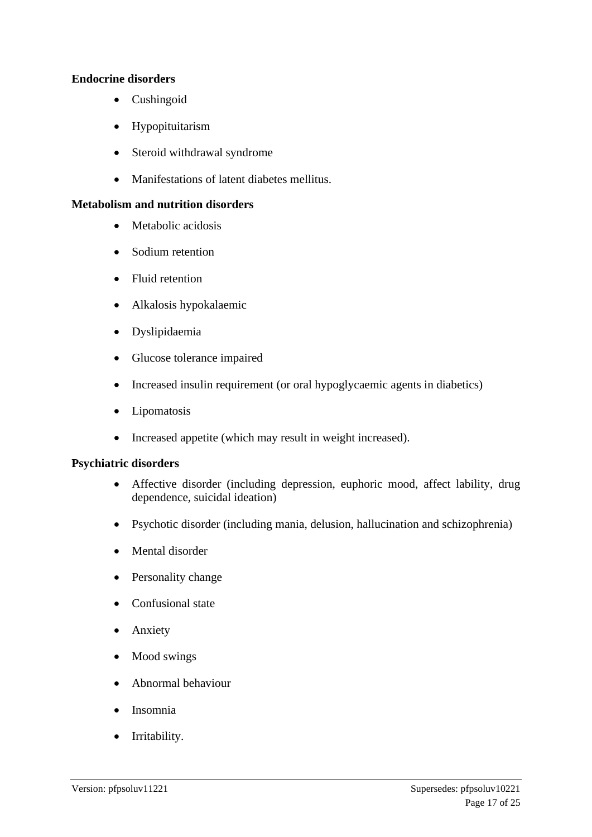#### **Endocrine disorders**

- Cushingoid
- Hypopituitarism
- Steroid withdrawal syndrome
- Manifestations of latent diabetes mellitus.

#### **Metabolism and nutrition disorders**

- Metabolic acidosis
- Sodium retention
- Fluid retention
- Alkalosis hypokalaemic
- Dyslipidaemia
- Glucose tolerance impaired
- Increased insulin requirement (or oral hypoglycaemic agents in diabetics)
- Lipomatosis
- Increased appetite (which may result in weight increased).

#### **Psychiatric disorders**

- Affective disorder (including depression, euphoric mood, affect lability, drug dependence, suicidal ideation)
- Psychotic disorder (including mania, delusion, hallucination and schizophrenia)
- Mental disorder
- Personality change
- Confusional state
- Anxiety
- Mood swings
- Abnormal behaviour
- Insomnia
- Irritability.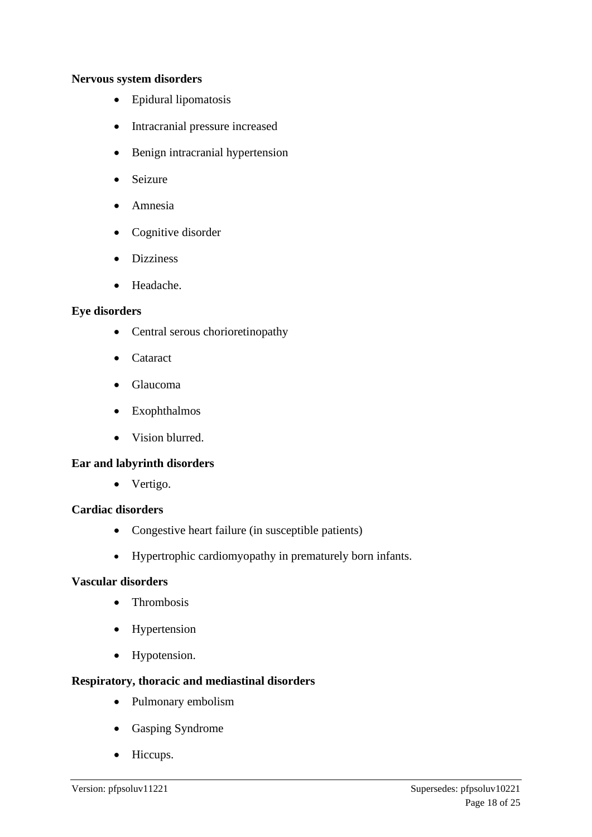#### **Nervous system disorders**

- Epidural lipomatosis
- Intracranial pressure increased
- Benign intracranial hypertension
- **Seizure**
- Amnesia
- Cognitive disorder
- Dizziness
- Headache.

#### **Eye disorders**

- Central serous chorioretinopathy
- Cataract
- Glaucoma
- Exophthalmos
- Vision blurred.

#### **Ear and labyrinth disorders**

• Vertigo.

#### **Cardiac disorders**

- Congestive heart failure (in susceptible patients)
- Hypertrophic cardiomyopathy in prematurely born infants.

#### **Vascular disorders**

- Thrombosis
- Hypertension
- Hypotension.

#### **Respiratory, thoracic and mediastinal disorders**

- Pulmonary embolism
- Gasping Syndrome
- Hiccups.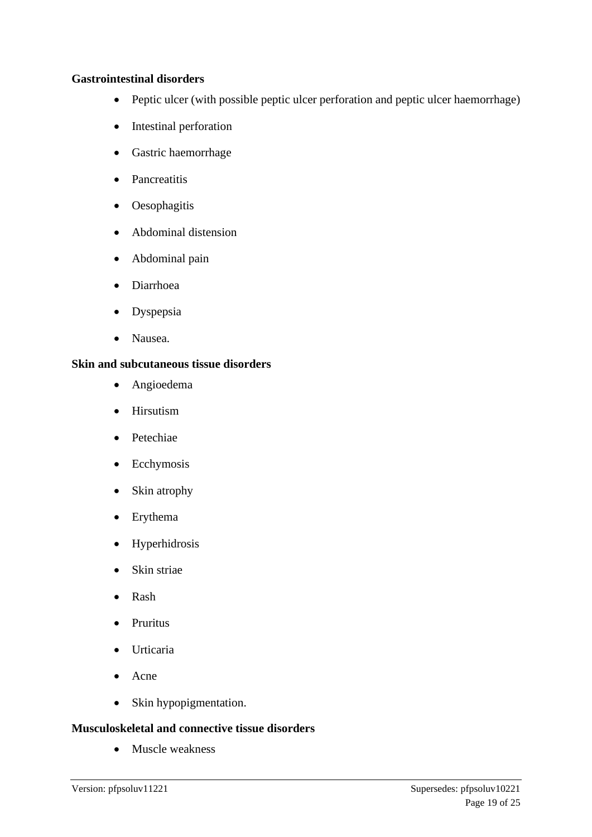#### **Gastrointestinal disorders**

- Peptic ulcer (with possible peptic ulcer perforation and peptic ulcer haemorrhage)
- Intestinal perforation
- Gastric haemorrhage
- Pancreatitis
- Oesophagitis
- Abdominal distension
- Abdominal pain
- Diarrhoea
- Dyspepsia
- Nausea.

#### **Skin and subcutaneous tissue disorders**

- Angioedema
- Hirsutism
- Petechiae
- Ecchymosis
- Skin atrophy
- Erythema
- Hyperhidrosis
- Skin striae
- Rash
- Pruritus
- Urticaria
- Acne
- Skin hypopigmentation.

#### **Musculoskeletal and connective tissue disorders**

• Muscle weakness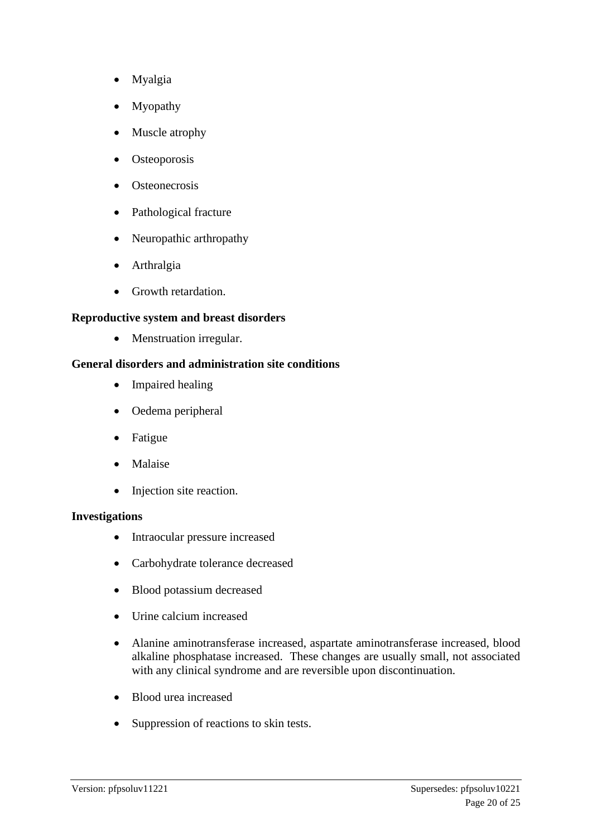- Myalgia
- **Myopathy**
- Muscle atrophy
- Osteoporosis
- **Osteonecrosis**
- Pathological fracture
- Neuropathic arthropathy
- Arthralgia
- Growth retardation.

#### **Reproductive system and breast disorders**

• Menstruation irregular.

#### **General disorders and administration site conditions**

- Impaired healing
- Oedema peripheral
- **Fatigue**
- Malaise
- Injection site reaction.

#### **Investigations**

- Intraocular pressure increased
- Carbohydrate tolerance decreased
- Blood potassium decreased
- Urine calcium increased
- Alanine aminotransferase increased, aspartate aminotransferase increased, blood alkaline phosphatase increased. These changes are usually small, not associated with any clinical syndrome and are reversible upon discontinuation.
- Blood urea increased
- Suppression of reactions to skin tests.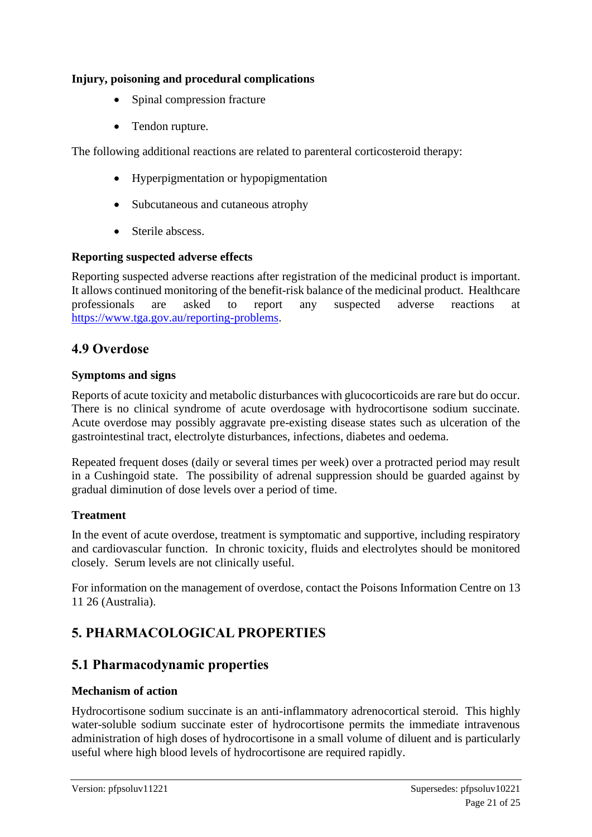### **Injury, poisoning and procedural complications**

- Spinal compression fracture
- Tendon rupture.

The following additional reactions are related to parenteral corticosteroid therapy:

- Hyperpigmentation or hypopigmentation
- Subcutaneous and cutaneous atrophy
- Sterile abscess.

### **Reporting suspected adverse effects**

Reporting suspected adverse reactions after registration of the medicinal product is important. It allows continued monitoring of the benefit-risk balance of the medicinal product. Healthcare professionals are asked to report any suspected adverse reactions at [https://www.tga.gov.au/reporting-problems.](https://www.tga.gov.au/reporting-problems)

# **4.9 Overdose**

### **Symptoms and signs**

Reports of acute toxicity and metabolic disturbances with glucocorticoids are rare but do occur. There is no clinical syndrome of acute overdosage with hydrocortisone sodium succinate. Acute overdose may possibly aggravate pre-existing disease states such as ulceration of the gastrointestinal tract, electrolyte disturbances, infections, diabetes and oedema.

Repeated frequent doses (daily or several times per week) over a protracted period may result in a Cushingoid state. The possibility of adrenal suppression should be guarded against by gradual diminution of dose levels over a period of time.

### **Treatment**

In the event of acute overdose, treatment is symptomatic and supportive, including respiratory and cardiovascular function. In chronic toxicity, fluids and electrolytes should be monitored closely. Serum levels are not clinically useful.

For information on the management of overdose, contact the Poisons Information Centre on 13 11 26 (Australia).

# **5. PHARMACOLOGICAL PROPERTIES**

# **5.1 Pharmacodynamic properties**

### **Mechanism of action**

Hydrocortisone sodium succinate is an anti-inflammatory adrenocortical steroid. This highly water-soluble sodium succinate ester of hydrocortisone permits the immediate intravenous administration of high doses of hydrocortisone in a small volume of diluent and is particularly useful where high blood levels of hydrocortisone are required rapidly.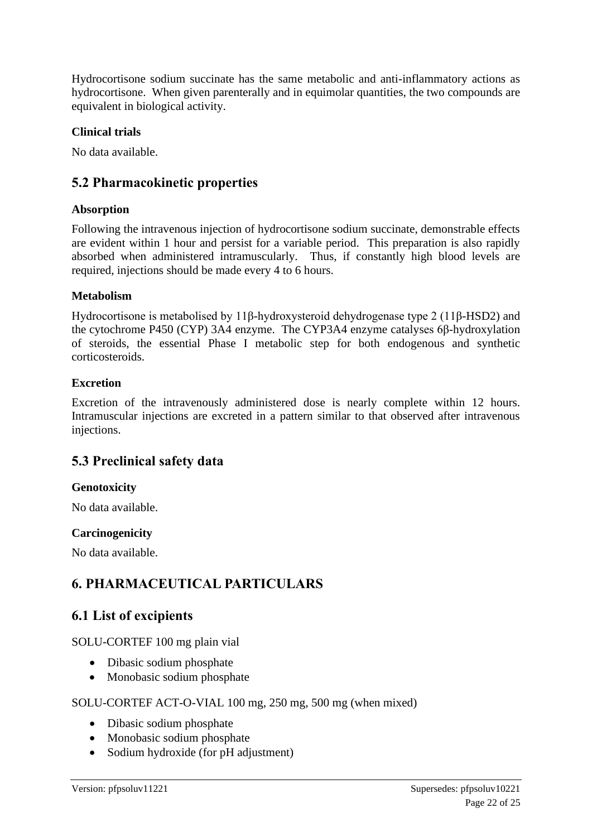Hydrocortisone sodium succinate has the same metabolic and anti-inflammatory actions as hydrocortisone. When given parenterally and in equimolar quantities, the two compounds are equivalent in biological activity.

### **Clinical trials**

No data available.

# **5.2 Pharmacokinetic properties**

#### **Absorption**

Following the intravenous injection of hydrocortisone sodium succinate, demonstrable effects are evident within 1 hour and persist for a variable period. This preparation is also rapidly absorbed when administered intramuscularly. Thus, if constantly high blood levels are required, injections should be made every 4 to 6 hours.

### **Metabolism**

Hydrocortisone is metabolised by 11β-hydroxysteroid dehydrogenase type 2 (11β-HSD2) and the cytochrome P450 (CYP) 3A4 enzyme. The CYP3A4 enzyme catalyses 6β-hydroxylation of steroids, the essential Phase I metabolic step for both endogenous and synthetic corticosteroids.

### **Excretion**

Excretion of the intravenously administered dose is nearly complete within 12 hours. Intramuscular injections are excreted in a pattern similar to that observed after intravenous injections.

# **5.3 Preclinical safety data**

### **Genotoxicity**

No data available.

#### **Carcinogenicity**

No data available.

# **6. PHARMACEUTICAL PARTICULARS**

# **6.1 List of excipients**

SOLU-CORTEF 100 mg plain vial

- Dibasic sodium phosphate
- Monobasic sodium phosphate

#### SOLU-CORTEF ACT-O-VIAL 100 mg, 250 mg, 500 mg (when mixed)

- Dibasic sodium phosphate
- Monobasic sodium phosphate
- Sodium hydroxide (for pH adjustment)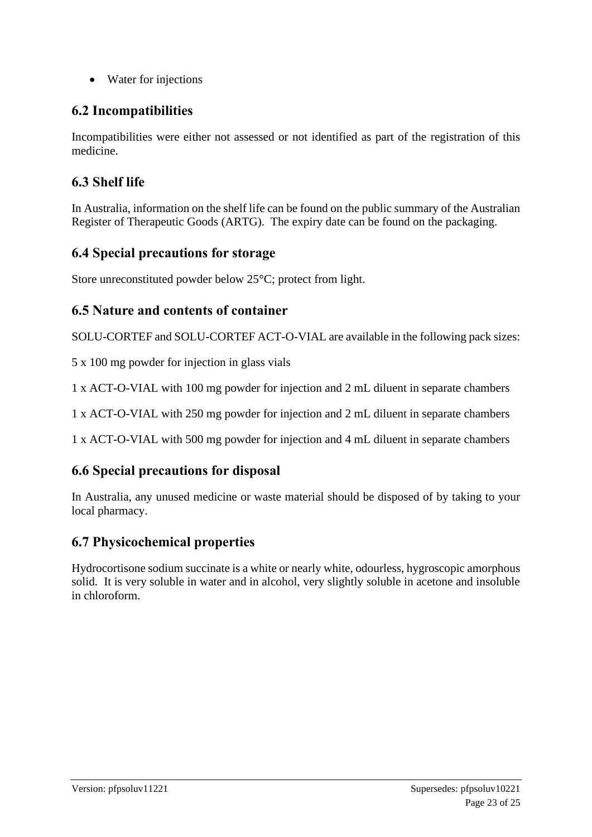• Water for injections

# **6.2 Incompatibilities**

Incompatibilities were either not assessed or not identified as part of the registration of this medicine.

# **6.3 Shelf life**

In Australia, information on the shelf life can be found on the public summary of the Australian Register of Therapeutic Goods (ARTG). The expiry date can be found on the packaging.

# **6.4 Special precautions for storage**

Store unreconstituted powder below 25°C; protect from light.

# **6.5 Nature and contents of container**

SOLU-CORTEF and SOLU-CORTEF ACT-O-VIAL are available in the following pack sizes:

5 x 100 mg powder for injection in glass vials

1 x ACT-O-VIAL with 100 mg powder for injection and 2 mL diluent in separate chambers

1 x ACT-O-VIAL with 250 mg powder for injection and 2 mL diluent in separate chambers

1 x ACT-O-VIAL with 500 mg powder for injection and 4 mL diluent in separate chambers

# **6.6 Special precautions for disposal**

In Australia, any unused medicine or waste material should be disposed of by taking to your local pharmacy.

# **6.7 Physicochemical properties**

Hydrocortisone sodium succinate is a white or nearly white, odourless, hygroscopic amorphous solid. It is very soluble in water and in alcohol, very slightly soluble in acetone and insoluble in chloroform.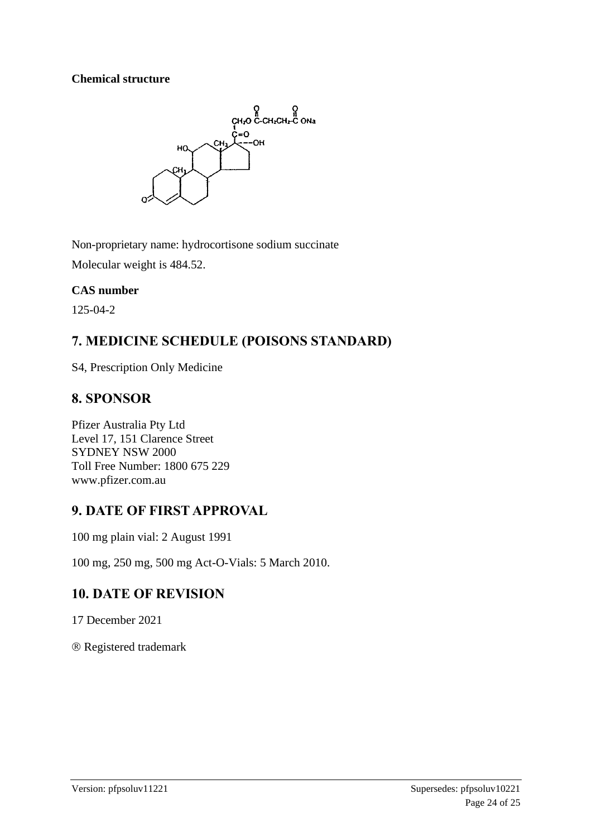### **Chemical structure**



Non-proprietary name: hydrocortisone sodium succinate Molecular weight is 484.52.

### **CAS number**

125-04-2

# **7. MEDICINE SCHEDULE (POISONS STANDARD)**

S4, Prescription Only Medicine

# **8. SPONSOR**

Pfizer Australia Pty Ltd Level 17, 151 Clarence Street SYDNEY NSW 2000 Toll Free Number: 1800 675 229 www.pfizer.com.au

# **9. DATE OF FIRST APPROVAL**

100 mg plain vial: 2 August 1991

100 mg, 250 mg, 500 mg Act-O-Vials: 5 March 2010.

# **10. DATE OF REVISION**

17 December 2021

Registered trademark